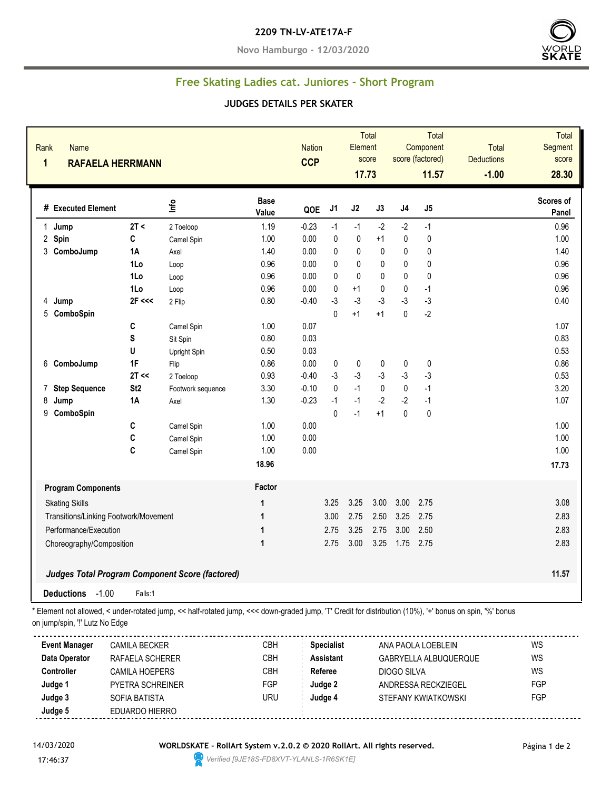#### **2209 TN-LV-ATE17A-F**

**Novo Hamburgo - 12/03/2020**



## **Free Skating Ladies cat. Juniores - Short Program**

### **JUDGES DETAILS PER SKATER**

| Rank<br>1 | <b>Name</b><br><b>RAFAELA HERRMANN</b> |                 |                                                        |                      | <b>Nation</b><br><b>CCP</b> |              | Element<br>17.73 | <b>Total</b><br>score |                | <b>Total</b><br>Component<br>score (factored)<br>11.57 | Total<br><b>Deductions</b><br>$-1.00$ | Total<br>Segment<br>score<br>28.30 |
|-----------|----------------------------------------|-----------------|--------------------------------------------------------|----------------------|-----------------------------|--------------|------------------|-----------------------|----------------|--------------------------------------------------------|---------------------------------------|------------------------------------|
|           | # Executed Element                     |                 | $\mathbf{r}$                                           | <b>Base</b><br>Value | QOE                         | J1           | J2               | J3                    | J <sub>4</sub> | J5                                                     |                                       | Scores of<br><b>Panel</b>          |
|           | 1 Jump                                 | 2T <            | 2 Toeloop                                              | 1.19                 | $-0.23$                     | $-1$         | $-1$             | $-2$                  | $-2$           | $-1$                                                   |                                       | 0.96                               |
|           | 2 Spin                                 | C               | Camel Spin                                             | 1.00                 | 0.00                        | $\pmb{0}$    | 0                | $+1$                  | $\pmb{0}$      | 0                                                      |                                       | 1.00                               |
| 3         | ComboJump                              | 1A              | Axel                                                   | 1.40                 | 0.00                        | $\pmb{0}$    | $\pmb{0}$        | $\pmb{0}$             | 0              | $\mathbf 0$                                            |                                       | 1.40                               |
|           |                                        | 1Lo             | Loop                                                   | 0.96                 | 0.00                        | $\pmb{0}$    | 0                | $\pmb{0}$             | 0              | $\mathbf 0$                                            |                                       | 0.96                               |
|           |                                        | 1Lo             | Loop                                                   | 0.96                 | 0.00                        | $\pmb{0}$    | $\mathbf 0$      | $\pmb{0}$             | $\mathbf 0$    | $\pmb{0}$                                              |                                       | 0.96                               |
|           |                                        | 1Lo             | Loop                                                   | 0.96                 | 0.00                        | $\pmb{0}$    | $+1$             | $\pmb{0}$             | $\pmb{0}$      | $-1$                                                   |                                       | 0.96                               |
| 4         | Jump                                   | $2F \ll $       | 2 Flip                                                 | 0.80                 | $-0.40$                     | $-3$         | $-3$             | $-3$                  | $-3$           | $-3$                                                   |                                       | 0.40                               |
| 5         | ComboSpin                              |                 |                                                        |                      |                             | $\pmb{0}$    | $+1$             | $+1$                  | 0              | $-2$                                                   |                                       |                                    |
|           |                                        | C               | Camel Spin                                             | 1.00                 | 0.07                        |              |                  |                       |                |                                                        |                                       | 1.07                               |
|           |                                        | S               | Sit Spin                                               | 0.80                 | 0.03                        |              |                  |                       |                |                                                        |                                       | 0.83                               |
|           |                                        | U               | <b>Upright Spin</b>                                    | 0.50                 | 0.03                        |              |                  |                       |                |                                                        |                                       | 0.53                               |
| 6         | ComboJump                              | 1F              | Flip                                                   | 0.86                 | 0.00                        | 0            | $\pmb{0}$        | 0                     | 0              | $\pmb{0}$                                              |                                       | 0.86                               |
|           |                                        | 2T <            | 2 Toeloop                                              | 0.93                 | $-0.40$                     | $-3$         | $-3$             | $-3$                  | $-3$           | $-3$                                                   |                                       | 0.53                               |
| 7         | <b>Step Sequence</b>                   | St <sub>2</sub> | Footwork sequence                                      | 3.30                 | $-0.10$                     | $\pmb{0}$    | $-1$             | $\pmb{0}$             | 0              | $-1$                                                   |                                       | 3.20                               |
| 8         | Jump                                   | 1A              | Axel                                                   | 1.30                 | $-0.23$                     | $-1$         | $-1$             | $-2$                  | $-2$           | $-1$                                                   |                                       | 1.07                               |
| 9         | ComboSpin                              |                 |                                                        |                      |                             | $\mathbf{0}$ | $-1$             | $+1$                  | 0              | $\pmb{0}$                                              |                                       |                                    |
|           |                                        | C               | Camel Spin                                             | 1.00                 | 0.00                        |              |                  |                       |                |                                                        |                                       | 1.00                               |
|           |                                        | C               | Camel Spin                                             | 1.00                 | 0.00                        |              |                  |                       |                |                                                        |                                       | 1.00                               |
|           |                                        | C               | Camel Spin                                             | 1.00                 | 0.00                        |              |                  |                       |                |                                                        |                                       | 1.00                               |
|           |                                        |                 |                                                        | 18.96                |                             |              |                  |                       |                |                                                        |                                       | 17.73                              |
|           | <b>Program Components</b>              |                 |                                                        | Factor               |                             |              |                  |                       |                |                                                        |                                       |                                    |
|           | <b>Skating Skills</b>                  |                 |                                                        | $\mathbf 1$          |                             | 3.25         | 3.25             | 3.00                  | 3.00           | 2.75                                                   |                                       | 3.08                               |
|           | Transitions/Linking Footwork/Movement  |                 |                                                        | 1                    |                             | 3.00         | 2.75             | 2.50                  | 3.25           | 2.75                                                   |                                       | 2.83                               |
|           | Performance/Execution                  |                 |                                                        | $\mathbf{1}$         |                             | 2.75         | 3.25             | 2.75                  | 3.00           | 2.50                                                   |                                       | 2.83                               |
|           | Choreography/Composition               |                 |                                                        | $\mathbf{1}$         |                             | 2.75         | 3.00             | 3.25                  | 1.75           | 2.75                                                   |                                       | 2.83                               |
|           |                                        |                 |                                                        |                      |                             |              |                  |                       |                |                                                        |                                       |                                    |
|           |                                        |                 | <b>Judges Total Program Component Score (factored)</b> |                      |                             |              |                  |                       |                |                                                        |                                       | 11.57                              |
|           | $-1.00$<br><b>Deductions</b>           | Falls:1         |                                                        |                      |                             |              |                  |                       |                |                                                        |                                       |                                    |

\* Element not allowed, < under-rotated jump, << half-rotated jump, <<< down-graded jump, 'T' Credit for distribution (10%), '+' bonus on spin, '%' bonus

on jump/spin, '!' Lutz No Edge

| <b>Event Manager</b> | CAMILA BECKER    | CBH        | <b>Specialist</b> | ANA PAOLA LOEBLEIN           | WS  |
|----------------------|------------------|------------|-------------------|------------------------------|-----|
| Data Operator        | RAFAELA SCHERER  | CBH        | <b>Assistant</b>  | <b>GABRYELLA ALBUQUERQUE</b> | WS  |
| <b>Controller</b>    | CAMILA HOEPERS   | <b>CBH</b> | Referee           | DIOGO SILVA                  | WS  |
| Judge 1              | PYETRA SCHREINER | <b>FGP</b> | Judge 2           | ANDRESSA RECKZIEGEL          | FGP |
| Judge 3              | SOFIA BATISTA    | <b>URU</b> | Judge 4           | STEFANY KWIATKOWSKI          | FGP |
| Judge 5              | EDUARDO HIERRO   |            |                   |                              |     |